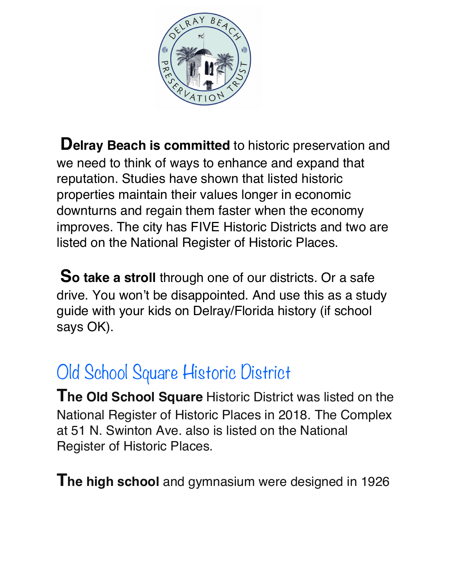

**Delray Beach is committed** to historic preservation and we need to think of ways to enhance and expand that reputation. Studies have shown that listed historic properties maintain their values longer in economic downturns and regain them faster when the economy improves. The city has FIVE Historic Districts and two are listed on the National Register of Historic Places.

**So take a stroll** through one of our districts. Or a safe drive. You won't be disappointed. And use this as a study guide with your kids on Delray/Florida history (if school says OK).

# Old School Square Historic District

**The Old School Square** Historic District was listed on the National Register of Historic Places in 2018. The Complex at 51 N. Swinton Ave. also is listed on the National Register of Historic Places.

**The high school** and gymnasium were designed in 1926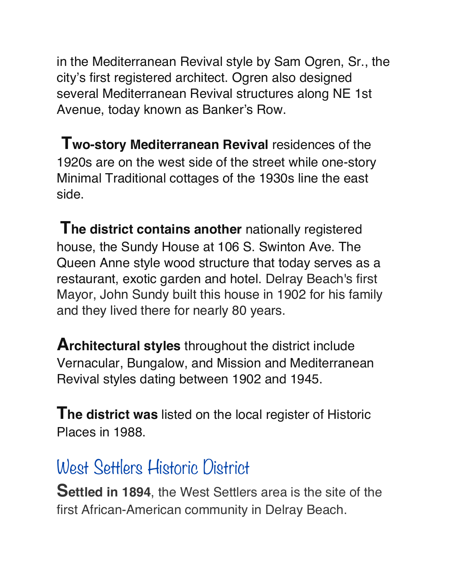in the Mediterranean Revival style by Sam Ogren, Sr., the city's first registered architect. Ogren also designed several Mediterranean Revival structures along NE 1st Avenue, today known as Banker's Row.

 **Two-story Mediterranean Revival** residences of the 1920s are on the west side of the street while one-story Minimal Traditional cottages of the 1930s line the east side.

**The district contains another** nationally registered house, the Sundy House at 106 S. Swinton Ave. The Queen Anne style wood structure that today serves as a restaurant, exotic garden and hotel. Delray Beach's first Mayor, John Sundy built this house in 1902 for his family and they lived there for nearly 80 years.

**Architectural styles** throughout the district include Vernacular, Bungalow, and Mission and Mediterranean Revival styles dating between 1902 and 1945.

**The district was** listed on the local register of Historic Places in 1988.

#### West Settlers Historic District

**Settled in 1894**, the West Settlers area is the site of the first African-American community in Delray Beach.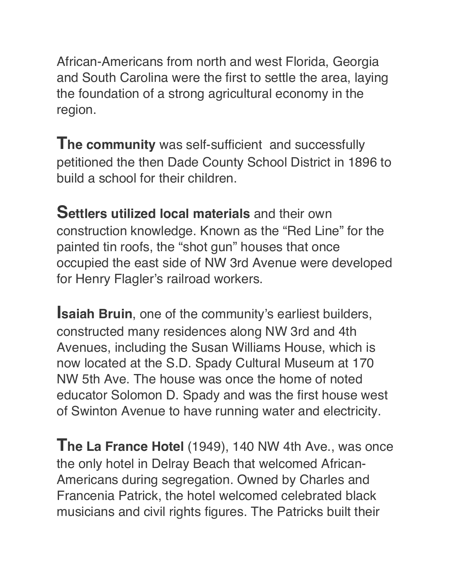African-Americans from north and west Florida, Georgia and South Carolina were the first to settle the area, laying the foundation of a strong agricultural economy in the region.

**The community** was self-sufficient and successfully petitioned the then Dade County School District in 1896 to build a school for their children.

**Settlers utilized local materials** and their own construction knowledge. Known as the "Red Line" for the painted tin roofs, the "shot gun" houses that once occupied the east side of NW 3rd Avenue were developed for Henry Flagler's railroad workers.

**Isaiah Bruin, one of the community's earliest builders,** constructed many residences along NW 3rd and 4th Avenues, including the Susan Williams House, which is now located at the S.D. Spady Cultural Museum at 170 NW 5th Ave. The house was once the home of noted educator Solomon D. Spady and was the first house west of Swinton Avenue to have running water and electricity.

**The La France Hotel** (1949), 140 NW 4th Ave., was once the only hotel in Delray Beach that welcomed African-Americans during segregation. Owned by Charles and Francenia Patrick, the hotel welcomed celebrated black musicians and civil rights figures. The Patricks built their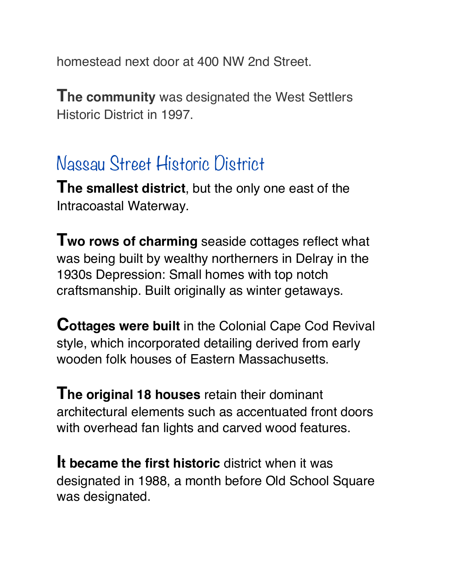homestead next door at 400 NW 2nd Street.

**The community** was designated the West Settlers Historic District in 1997.

### Nassau Street Historic District

**The smallest district**, but the only one east of the Intracoastal Waterway.

**Two rows of charming** seaside cottages reflect what was being built by wealthy northerners in Delray in the 1930s Depression: Small homes with top notch craftsmanship. Built originally as winter getaways.

**Cottages were built** in the Colonial Cape Cod Revival style, which incorporated detailing derived from early wooden folk houses of Eastern Massachusetts.

**The original 18 houses** retain their dominant architectural elements such as accentuated front doors with overhead fan lights and carved wood features.

**It became the first historic** district when it was designated in 1988, a month before Old School Square was designated.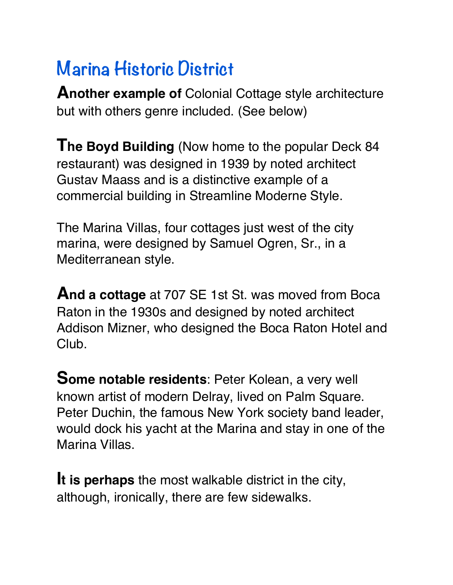# **Marina Historic District**

**Another example of** Colonial Cottage style architecture but with others genre included. (See below)

**The Boyd Building** (Now home to the popular Deck 84 restaurant) was designed in 1939 by noted architect Gustav Maass and is a distinctive example of a commercial building in Streamline Moderne Style.

The Marina Villas, four cottages just west of the city marina, were designed by Samuel Ogren, Sr., in a Mediterranean style.

**And a cottage** at 707 SE 1st St. was moved from Boca Raton in the 1930s and designed by noted architect Addison Mizner, who designed the Boca Raton Hotel and Club.

**Some notable residents**: Peter Kolean, a very well known artist of modern Delray, lived on Palm Square. Peter Duchin, the famous New York society band leader, would dock his yacht at the Marina and stay in one of the Marina Villas.

**It is perhaps** the most walkable district in the city, although, ironically, there are few sidewalks.